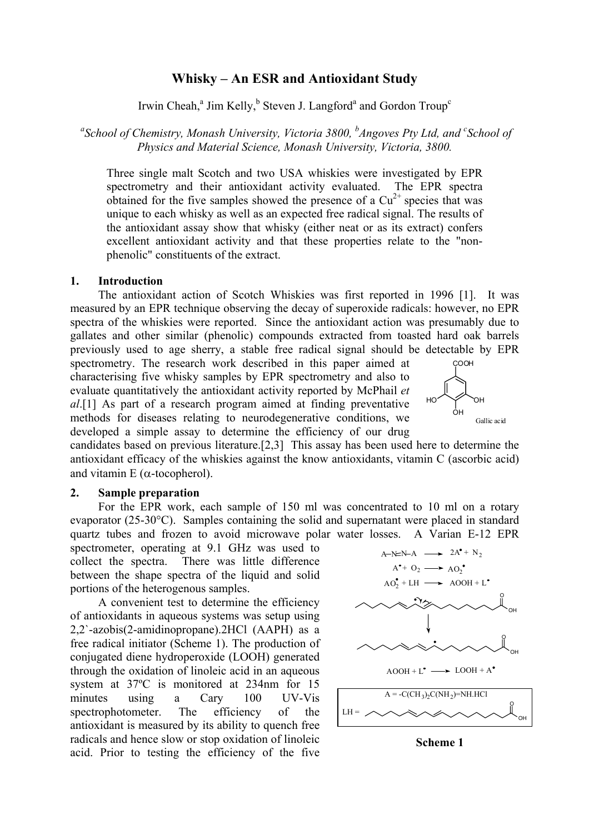# **Whisky – An ESR and Antioxidant Study**

Irwin Cheah,<sup>a</sup> Jim Kelly,<sup>b</sup> Steven J. Langford<sup>a</sup> and Gordon Troup<sup>c</sup>

<sup>a</sup> School of Chemistry, Monash University, Victoria 3800, <sup>b</sup>Angoves Pty Ltd, and <sup>c</sup> School of *Physics and Material Science, Monash University, Victoria, 3800.* 

Three single malt Scotch and two USA whiskies were investigated by EPR spectrometry and their antioxidant activity evaluated. The EPR spectra obtained for the five samples showed the presence of a  $Cu<sup>2+</sup>$  species that was unique to each whisky as well as an expected free radical signal. The results of the antioxidant assay show that whisky (either neat or as its extract) confers excellent antioxidant activity and that these properties relate to the "nonphenolic" constituents of the extract.

### **1. Introduction**

The antioxidant action of Scotch Whiskies was first reported in 1996 [1]. It was measured by an EPR technique observing the decay of superoxide radicals: however, no EPR spectra of the whiskies were reported. Since the antioxidant action was presumably due to gallates and other similar (phenolic) compounds extracted from toasted hard oak barrels previously used to age sherry, a stable free radical signal should be detectable by EPR

spectrometry. The research work described in this paper aimed at characterising five whisky samples by EPR spectrometry and also to evaluate quantitatively the antioxidant activity reported by McPhail *et al*.[1] As part of a research program aimed at finding preventative methods for diseases relating to neurodegenerative conditions, we developed a simple assay to determine the efficiency of our drug



candidates based on previous literature.[2,3] This assay has been used here to determine the antioxidant efficacy of the whiskies against the know antioxidants, vitamin C (ascorbic acid) and vitamin E ( $\alpha$ -tocopherol).

#### **2. Sample preparation**

For the EPR work, each sample of 150 ml was concentrated to 10 ml on a rotary evaporator (25-30°C). Samples containing the solid and supernatant were placed in standard quartz tubes and frozen to avoid microwave polar water losses. A Varian E-12 EPR

spectrometer, operating at 9.1 GHz was used to collect the spectra. There was little difference between the shape spectra of the liquid and solid portions of the heterogenous samples.

A convenient test to determine the efficiency of antioxidants in aqueous systems was setup using 2,2`-azobis(2-amidinopropane).2HCl (AAPH) as a free radical initiator (Scheme 1). The production of conjugated diene hydroperoxide (LOOH) generated through the oxidation of linoleic acid in an aqueous system at 37ºC is monitored at 234nm for 15 minutes using a Cary 100 UV-Vis spectrophotometer. The efficiency of the antioxidant is measured by its ability to quench free radicals and hence slow or stop oxidation of linoleic acid. Prior to testing the efficiency of the five



**Scheme 1**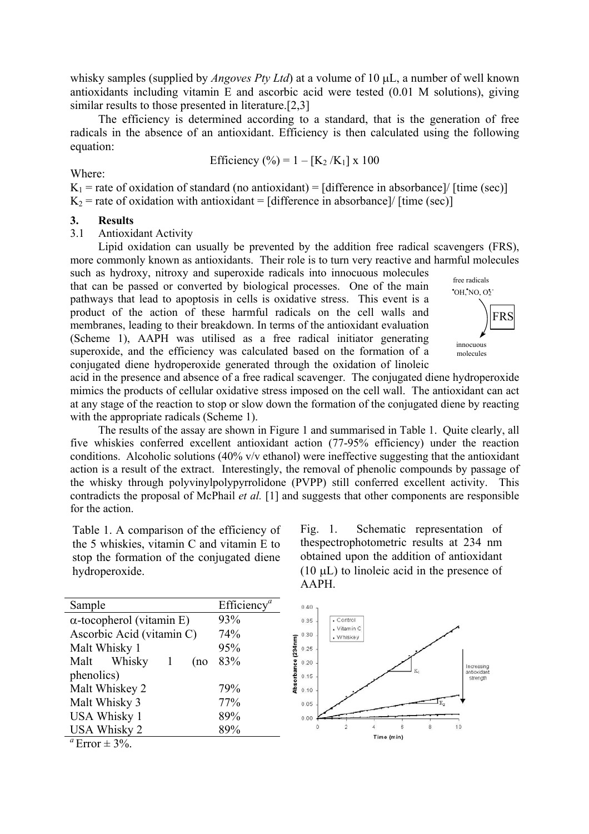whisky samples (supplied by *Angoves Pty Ltd*) at a volume of 10  $\mu$ L, a number of well known antioxidants including vitamin E and ascorbic acid were tested (0.01 M solutions), giving similar results to those presented in literature.[2,3]

The efficiency is determined according to a standard, that is the generation of free radicals in the absence of an antioxidant. Efficiency is then calculated using the following equation:

Efficiency (
$$
\%
$$
) = 1 - [K<sub>2</sub>/K<sub>1</sub>] x 100

Where:

 $K_1$  = rate of oxidation of standard (no antioxidant) = [difference in absorbance]/ [time (sec)]  $K<sub>2</sub>$  = rate of oxidation with antioxidant = [difference in absorbance]/ [time (sec)]

#### **3. Results**

3.1 Antioxidant Activity

Lipid oxidation can usually be prevented by the addition free radical scavengers (FRS), more commonly known as antioxidants. Their role is to turn very reactive and harmful molecules such as hydroxy, nitroxy and superoxide radicals into innocuous molecules

that can be passed or converted by biological processes. One of the main pathways that lead to apoptosis in cells is oxidative stress. This event is a product of the action of these harmful radicals on the cell walls and membranes, leading to their breakdown. In terms of the antioxidant evaluation (Scheme 1), AAPH was utilised as a free radical initiator generating superoxide, and the efficiency was calculated based on the formation of a conjugated diene hydroperoxide generated through the oxidation of linoleic



acid in the presence and absence of a free radical scavenger. The conjugated diene hydroperoxide mimics the products of cellular oxidative stress imposed on the cell wall. The antioxidant can act at any stage of the reaction to stop or slow down the formation of the conjugated diene by reacting with the appropriate radicals (Scheme 1).

The results of the assay are shown in Figure 1 and summarised in Table 1. Quite clearly, all five whiskies conferred excellent antioxidant action (77-95% efficiency) under the reaction conditions. Alcoholic solutions (40% v/v ethanol) were ineffective suggesting that the antioxidant action is a result of the extract. Interestingly, the removal of phenolic compounds by passage of the whisky through polyvinylpolypyrrolidone (PVPP) still conferred excellent activity. This contradicts the proposal of McPhail *et al.* [1] and suggests that other components are responsible for the action.

Table 1. A comparison of the efficiency of the 5 whiskies, vitamin C and vitamin E to stop the formation of the conjugated diene hydroperoxide.

| Sample                                         | Efficiency <sup><i>a</i></sup> |
|------------------------------------------------|--------------------------------|
| $\alpha$ -tocopherol (vitamin E)               | 93%                            |
| Ascorbic Acid (vitamin C)                      | 74%                            |
| Malt Whisky 1                                  | 95%                            |
| Malt Whisky<br>-1<br>(no                       | 83%                            |
| phenolics)                                     |                                |
| Malt Whiskey 2                                 | 79%                            |
| Malt Whisky 3                                  | 77%                            |
| <b>USA Whisky 1</b>                            | 89%                            |
| <b>USA Whisky 2</b>                            | 89%                            |
| $a_{\mathbf{r}}$<br>$\sim$ $\sim$ 0.0 $\prime$ |                                |

Fig. 1. Schematic representation of thespectrophotometric results at 234 nm obtained upon the addition of antioxidant  $(10 \mu L)$  to linoleic acid in the presence of AAPH.



Error  $\pm$  3%.